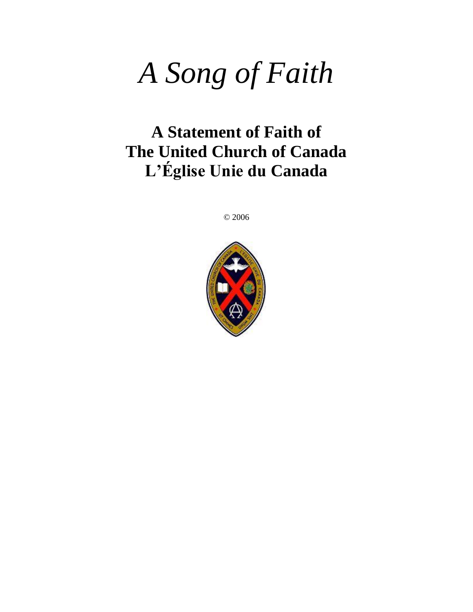# *A Song of Faith*

# **A Statement of Faith of The United Church of Canada L'Église Unie du Canada**

© 2006

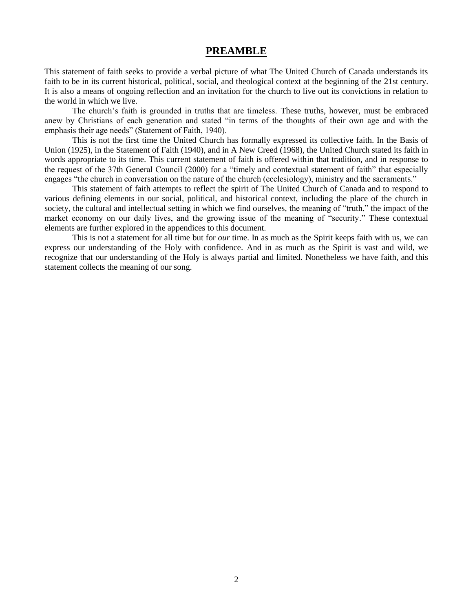# **PREAMBLE**

This statement of faith seeks to provide a verbal picture of what The United Church of Canada understands its faith to be in its current historical, political, social, and theological context at the beginning of the 21st century. It is also a means of ongoing reflection and an invitation for the church to live out its convictions in relation to the world in which we live.

The church's faith is grounded in truths that are timeless. These truths, however, must be embraced anew by Christians of each generation and stated "in terms of the thoughts of their own age and with the emphasis their age needs" (Statement of Faith, 1940).

This is not the first time the United Church has formally expressed its collective faith. In the Basis of Union (1925), in the Statement of Faith (1940), and in A New Creed (1968), the United Church stated its faith in words appropriate to its time. This current statement of faith is offered within that tradition, and in response to the request of the 37th General Council (2000) for a "timely and contextual statement of faith" that especially engages "the church in conversation on the nature of the church (ecclesiology), ministry and the sacraments."

This statement of faith attempts to reflect the spirit of The United Church of Canada and to respond to various defining elements in our social, political, and historical context, including the place of the church in society, the cultural and intellectual setting in which we find ourselves, the meaning of "truth," the impact of the market economy on our daily lives, and the growing issue of the meaning of "security." These contextual elements are further explored in the appendices to this document.

This is not a statement for all time but for *our* time. In as much as the Spirit keeps faith with us, we can express our understanding of the Holy with confidence. And in as much as the Spirit is vast and wild, we recognize that our understanding of the Holy is always partial and limited. Nonetheless we have faith, and this statement collects the meaning of our song.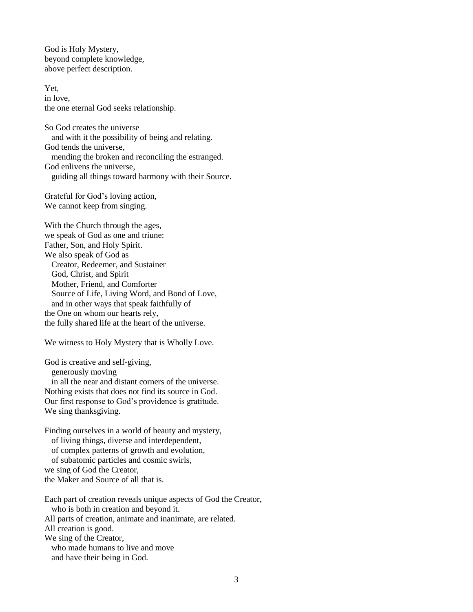God is Holy Mystery, beyond complete knowledge, above perfect description.

Yet, in love, the one eternal God seeks relationship.

So God creates the universe and with it the possibility of being and relating. God tends the universe, mending the broken and reconciling the estranged. God enlivens the universe, guiding all things toward harmony with their Source.

Grateful for God's loving action, We cannot keep from singing.

With the Church through the ages, we speak of God as one and triune: Father, Son, and Holy Spirit. We also speak of God as Creator, Redeemer, and Sustainer God, Christ, and Spirit Mother, Friend, and Comforter Source of Life, Living Word, and Bond of Love, and in other ways that speak faithfully of the One on whom our hearts rely, the fully shared life at the heart of the universe.

We witness to Holy Mystery that is Wholly Love.

God is creative and self-giving, generously moving in all the near and distant corners of the universe. Nothing exists that does not find its source in God. Our first response to God's providence is gratitude. We sing thanksgiving.

Finding ourselves in a world of beauty and mystery, of living things, diverse and interdependent, of complex patterns of growth and evolution, of subatomic particles and cosmic swirls, we sing of God the Creator, the Maker and Source of all that is.

Each part of creation reveals unique aspects of God the Creator, who is both in creation and beyond it. All parts of creation, animate and inanimate, are related. All creation is good. We sing of the Creator, who made humans to live and move and have their being in God.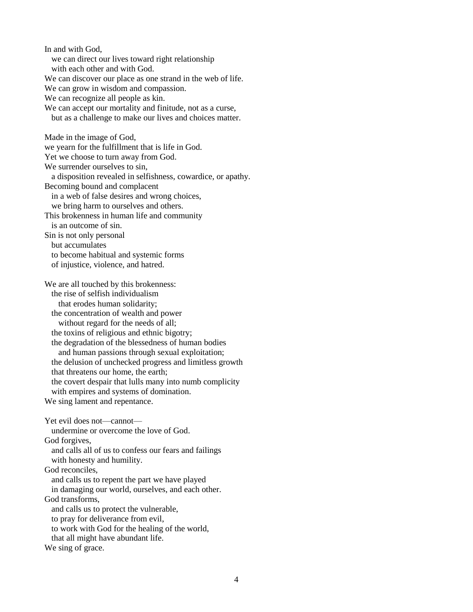In and with God, we can direct our lives toward right relationship with each other and with God. We can discover our place as one strand in the web of life. We can grow in wisdom and compassion. We can recognize all people as kin. We can accept our mortality and finitude, not as a curse, but as a challenge to make our lives and choices matter. Made in the image of God, we yearn for the fulfillment that is life in God. Yet we choose to turn away from God. We surrender ourselves to sin, a disposition revealed in selfishness, cowardice, or apathy. Becoming bound and complacent in a web of false desires and wrong choices, we bring harm to ourselves and others. This brokenness in human life and community is an outcome of sin. Sin is not only personal but accumulates to become habitual and systemic forms of injustice, violence, and hatred. We are all touched by this brokenness: the rise of selfish individualism that erodes human solidarity; the concentration of wealth and power without regard for the needs of all; the toxins of religious and ethnic bigotry; the degradation of the blessedness of human bodies and human passions through sexual exploitation; the delusion of unchecked progress and limitless growth that threatens our home, the earth; the covert despair that lulls many into numb complicity with empires and systems of domination. We sing lament and repentance. Yet evil does not—cannot undermine or overcome the love of God. God forgives, and calls all of us to confess our fears and failings with honesty and humility. God reconciles, and calls us to repent the part we have played in damaging our world, ourselves, and each other. God transforms, and calls us to protect the vulnerable, to pray for deliverance from evil, to work with God for the healing of the world, that all might have abundant life. We sing of grace.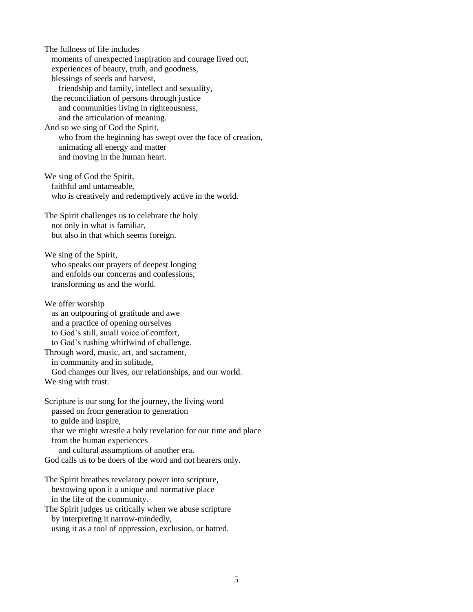The fullness of life includes moments of unexpected inspiration and courage lived out, experiences of beauty, truth, and goodness, blessings of seeds and harvest, friendship and family, intellect and sexuality, the reconciliation of persons through justice and communities living in righteousness, and the articulation of meaning. And so we sing of God the Spirit, who from the beginning has swept over the face of creation, animating all energy and matter and moving in the human heart. We sing of God the Spirit, faithful and untameable, who is creatively and redemptively active in the world. The Spirit challenges us to celebrate the holy not only in what is familiar, but also in that which seems foreign. We sing of the Spirit, who speaks our prayers of deepest longing and enfolds our concerns and confessions, transforming us and the world. We offer worship as an outpouring of gratitude and awe and a practice of opening ourselves to God's still, small voice of comfort, to God's rushing whirlwind of challenge. Through word, music, art, and sacrament, in community and in solitude, God changes our lives, our relationships, and our world. We sing with trust. Scripture is our song for the journey, the living word passed on from generation to generation to guide and inspire, that we might wrestle a holy revelation for our time and place from the human experiences and cultural assumptions of another era. God calls us to be doers of the word and not hearers only. The Spirit breathes revelatory power into scripture, bestowing upon it a unique and normative place in the life of the community. The Spirit judges us critically when we abuse scripture by interpreting it narrow-mindedly, using it as a tool of oppression, exclusion, or hatred.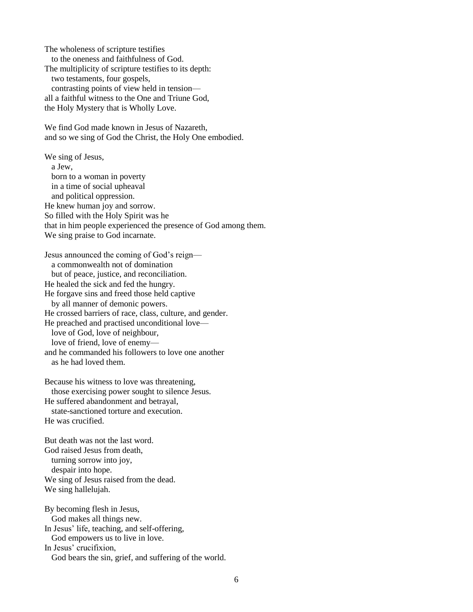The wholeness of scripture testifies to the oneness and faithfulness of God. The multiplicity of scripture testifies to its depth: two testaments, four gospels, contrasting points of view held in tension all a faithful witness to the One and Triune God, the Holy Mystery that is Wholly Love.

We find God made known in Jesus of Nazareth, and so we sing of God the Christ, the Holy One embodied.

We sing of Jesus, a Jew, born to a woman in poverty in a time of social upheaval and political oppression. He knew human joy and sorrow. So filled with the Holy Spirit was he that in him people experienced the presence of God among them. We sing praise to God incarnate.

Jesus announced the coming of God's reign a commonwealth not of domination but of peace, justice, and reconciliation. He healed the sick and fed the hungry. He forgave sins and freed those held captive by all manner of demonic powers. He crossed barriers of race, class, culture, and gender. He preached and practised unconditional love love of God, love of neighbour, love of friend, love of enemy and he commanded his followers to love one another as he had loved them.

Because his witness to love was threatening, those exercising power sought to silence Jesus. He suffered abandonment and betrayal, state-sanctioned torture and execution. He was crucified.

But death was not the last word. God raised Jesus from death, turning sorrow into joy, despair into hope. We sing of Jesus raised from the dead. We sing hallelujah.

By becoming flesh in Jesus, God makes all things new. In Jesus' life*,* teaching, and self-offering, God empowers us to live in love. In Jesus' crucifixion, God bears the sin, grief, and suffering of the world.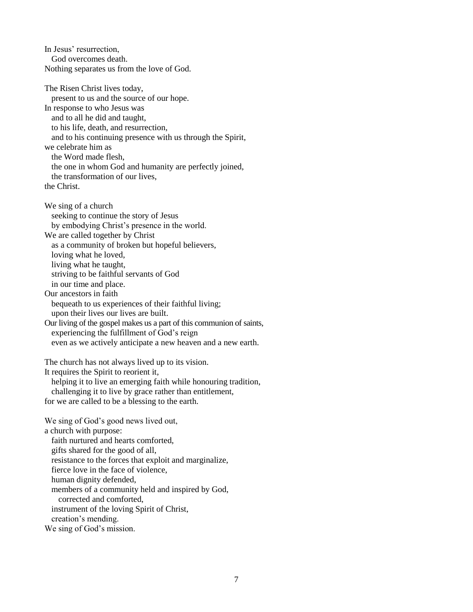In Jesus' resurrection, God overcomes death. Nothing separates us from the love of God. The Risen Christ lives today, present to us and the source of our hope. In response to who Jesus was and to all he did and taught, to his life, death, and resurrection, and to his continuing presence with us through the Spirit, we celebrate him as the Word made flesh, the one in whom God and humanity are perfectly joined, the transformation of our lives, the Christ. We sing of a church seeking to continue the story of Jesus by embodying Christ's presence in the world. We are called together by Christ as a community of broken but hopeful believers, loving what he loved, living what he taught, striving to be faithful servants of God in our time and place. Our ancestors in faith bequeath to us experiences of their faithful living; upon their lives our lives are built. Our living of the gospel makes us a part of this communion of saints, experiencing the fulfillment of God's reign even as we actively anticipate a new heaven and a new earth. The church has not always lived up to its vision. It requires the Spirit to reorient it, helping it to live an emerging faith while honouring tradition, challenging it to live by grace rather than entitlement, for we are called to be a blessing to the earth. We sing of God's good news lived out, a church with purpose: faith nurtured and hearts comforted, gifts shared for the good of all, resistance to the forces that exploit and marginalize, fierce love in the face of violence, human dignity defended, members of a community held and inspired by God, corrected and comforted, instrument of the loving Spirit of Christ, creation's mending. We sing of God's mission.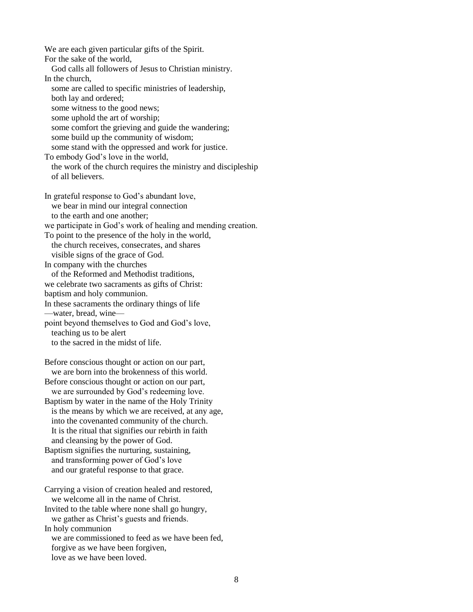We are each given particular gifts of the Spirit. For the sake of the world, God calls all followers of Jesus to Christian ministry. In the church, some are called to specific ministries of leadership, both lay and ordered; some witness to the good news; some uphold the art of worship; some comfort the grieving and guide the wandering; some build up the community of wisdom; some stand with the oppressed and work for justice. To embody God's love in the world, the work of the church requires the ministry and discipleship of all believers. In grateful response to God's abundant love, we bear in mind our integral connection to the earth and one another; we participate in God's work of healing and mending creation. To point to the presence of the holy in the world, the church receives, consecrates, and shares visible signs of the grace of God. In company with the churches of the Reformed and Methodist traditions, we celebrate two sacraments as gifts of Christ: baptism and holy communion. In these sacraments the ordinary things of life —water, bread, wine point beyond themselves to God and God's love, teaching us to be alert to the sacred in the midst of life. Before conscious thought or action on our part, we are born into the brokenness of this world. Before conscious thought or action on our part, we are surrounded by God's redeeming love. Baptism by water in the name of the Holy Trinity is the means by which we are received, at any age, into the covenanted community of the church. It is the ritual that signifies our rebirth in faith and cleansing by the power of God. Baptism signifies the nurturing, sustaining, and transforming power of God's love and our grateful response to that grace. Carrying a vision of creation healed and restored, we welcome all in the name of Christ. Invited to the table where none shall go hungry, we gather as Christ's guests and friends. In holy communion we are commissioned to feed as we have been fed, forgive as we have been forgiven, love as we have been loved.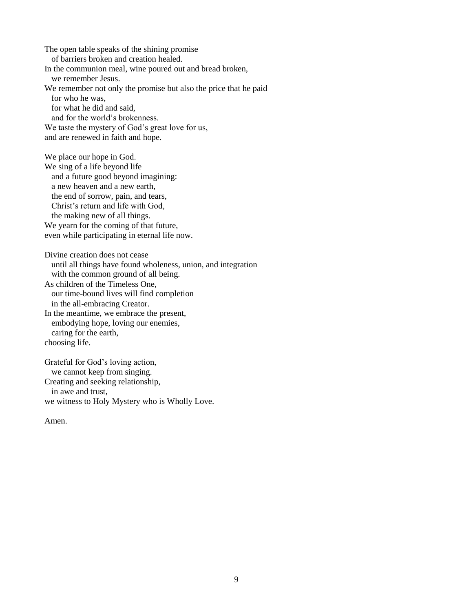The open table speaks of the shining promise of barriers broken and creation healed. In the communion meal, wine poured out and bread broken, we remember Jesus. We remember not only the promise but also the price that he paid for who he was, for what he did and said, and for the world's brokenness. We taste the mystery of God's great love for us, and are renewed in faith and hope.

We place our hope in God. We sing of a life beyond life and a future good beyond imagining: a new heaven and a new earth, the end of sorrow, pain, and tears, Christ's return and life with God, the making new of all things. We yearn for the coming of that future, even while participating in eternal life now.

Divine creation does not cease until all things have found wholeness, union, and integration with the common ground of all being. As children of the Timeless One, our time-bound lives will find completion in the all-embracing Creator. In the meantime, we embrace the present, embodying hope, loving our enemies, caring for the earth, choosing life.

Grateful for God's loving action, we cannot keep from singing. Creating and seeking relationship, in awe and trust, we witness to Holy Mystery who is Wholly Love.

Amen.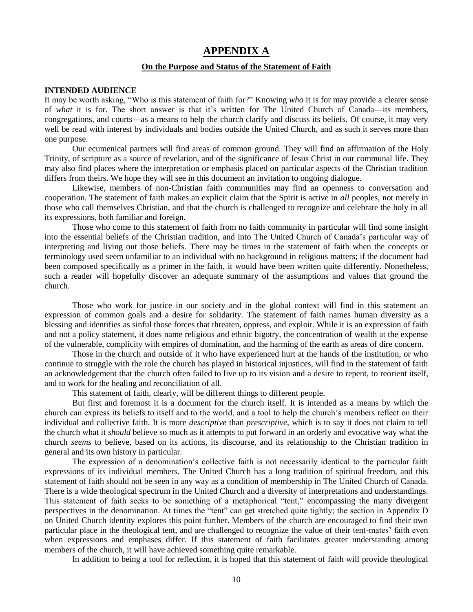# **APPENDIX A**

#### **On the Purpose and Status of the Statement of Faith**

#### **INTENDED AUDIENCE**

It may be worth asking, "Who is this statement of faith for?" Knowing *who* it is for may provide a clearer sense of *what* it is for. The short answer is that it's written for The United Church of Canada—its members, congregations, and courts—as a means to help the church clarify and discuss its beliefs. Of course, it may very well be read with interest by individuals and bodies outside the United Church, and as such it serves more than one purpose.

Our ecumenical partners will find areas of common ground. They will find an affirmation of the Holy Trinity, of scripture as a source of revelation, and of the significance of Jesus Christ in our communal life. They may also find places where the interpretation or emphasis placed on particular aspects of the Christian tradition differs from theirs. We hope they will see in this document an invitation to ongoing dialogue.

Likewise, members of non-Christian faith communities may find an openness to conversation and cooperation. The statement of faith makes an explicit claim that the Spirit is active in *all* peoples, not merely in those who call themselves Christian, and that the church is challenged to recognize and celebrate the holy in all its expressions, both familiar and foreign.

Those who come to this statement of faith from no faith community in particular will find some insight into the essential beliefs of the Christian tradition, and into The United Church of Canada's particular way of interpreting and living out those beliefs. There may be times in the statement of faith when the concepts or terminology used seem unfamiliar to an individual with no background in religious matters; if the document had been composed specifically as a primer in the faith, it would have been written quite differently. Nonetheless, such a reader will hopefully discover an adequate summary of the assumptions and values that ground the church.

Those who work for justice in our society and in the global context will find in this statement an expression of common goals and a desire for solidarity. The statement of faith names human diversity as a blessing and identifies as sinful those forces that threaten, oppress, and exploit. While it is an expression of faith and not a policy statement, it does name religious and ethnic bigotry, the concentration of wealth at the expense of the vulnerable, complicity with empires of domination, and the harming of the earth as areas of dire concern.

Those in the church and outside of it who have experienced hurt at the hands of the institution, or who continue to struggle with the role the church has played in historical injustices, will find in the statement of faith an acknowledgement that the church often failed to live up to its vision and a desire to repent, to reorient itself, and to work for the healing and reconciliation of all.

This statement of faith, clearly, will be different things to different people.

But first and foremost it is a document for the church itself. It is intended as a means by which the church can express its beliefs to itself and to the world, and a tool to help the church's members reflect on their individual and collective faith. It is more *descriptive* than *prescriptive*, which is to say it does not claim to tell the church what it *should* believe so much as it attempts to put forward in an orderly and evocative way what the church *seems* to believe, based on its actions, its discourse, and its relationship to the Christian tradition in general and its own history in particular.

The expression of a denomination's collective faith is not necessarily identical to the particular faith expressions of its individual members. The United Church has a long tradition of spiritual freedom, and this statement of faith should not be seen in any way as a condition of membership in The United Church of Canada. There is a wide theological spectrum in the United Church and a diversity of interpretations and understandings. This statement of faith seeks to be something of a metaphorical "tent," encompassing the many divergent perspectives in the denomination. At times the "tent" can get stretched quite tightly; the section in Appendix D on United Church identity explores this point further. Members of the church are encouraged to find their own particular place in the theological tent, and are challenged to recognize the value of their tent-mates' faith even when expressions and emphases differ. If this statement of faith facilitates greater understanding among members of the church, it will have achieved something quite remarkable.

In addition to being a tool for reflection, it is hoped that this statement of faith will provide theological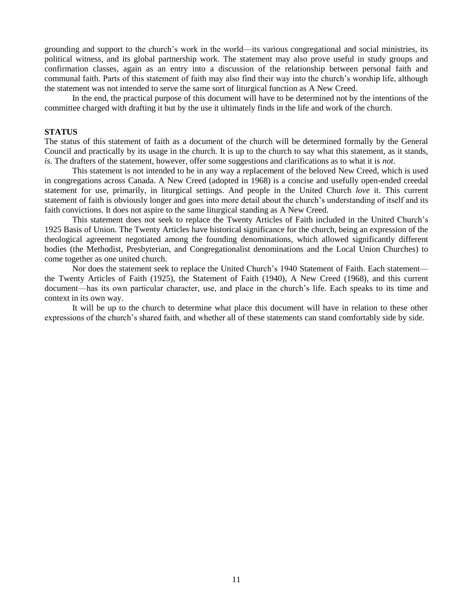grounding and support to the church's work in the world—its various congregational and social ministries, its political witness, and its global partnership work. The statement may also prove useful in study groups and confirmation classes, again as an entry into a discussion of the relationship between personal faith and communal faith. Parts of this statement of faith may also find their way into the church's worship life, although the statement was not intended to serve the same sort of liturgical function as A New Creed.

In the end, the practical purpose of this document will have to be determined not by the intentions of the committee charged with drafting it but by the use it ultimately finds in the life and work of the church.

#### **STATUS**

The status of this statement of faith as a document of the church will be determined formally by the General Council and practically by its usage in the church. It is up to the church to say what this statement, as it stands, *is*. The drafters of the statement, however, offer some suggestions and clarifications as to what it is *not*.

This statement is not intended to be in any way a replacement of the beloved New Creed, which is used in congregations across Canada. A New Creed (adopted in 1968) is a concise and usefully open-ended creedal statement for use, primarily, in liturgical settings. And people in the United Church *love* it. This current statement of faith is obviously longer and goes into more detail about the church's understanding of itself and its faith convictions. It does not aspire to the same liturgical standing as A New Creed.

This statement does not seek to replace the Twenty Articles of Faith included in the United Church's 1925 Basis of Union. The Twenty Articles have historical significance for the church, being an expression of the theological agreement negotiated among the founding denominations, which allowed significantly different bodies (the Methodist, Presbyterian, and Congregationalist denominations and the Local Union Churches) to come together as one united church.

Nor does the statement seek to replace the United Church's 1940 Statement of Faith. Each statement the Twenty Articles of Faith (1925), the Statement of Faith (1940), A New Creed (1968), and this current document—has its own particular character, use, and place in the church's life. Each speaks to its time and context in its own way.

It will be up to the church to determine what place this document will have in relation to these other expressions of the church's shared faith, and whether all of these statements can stand comfortably side by side.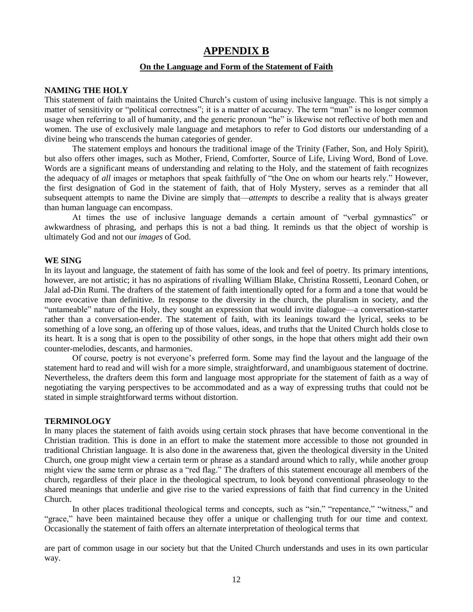# **APPENDIX B**

#### **On the Language and Form of the Statement of Faith**

#### **NAMING THE HOLY**

This statement of faith maintains the United Church's custom of using inclusive language. This is not simply a matter of sensitivity or "political correctness"; it is a matter of accuracy. The term "man" is no longer common usage when referring to all of humanity, and the generic pronoun "he" is likewise not reflective of both men and women. The use of exclusively male language and metaphors to refer to God distorts our understanding of a divine being who transcends the human categories of gender.

The statement employs and honours the traditional image of the Trinity (Father, Son, and Holy Spirit), but also offers other images, such as Mother, Friend, Comforter, Source of Life, Living Word, Bond of Love. Words are a significant means of understanding and relating to the Holy, and the statement of faith recognizes the adequacy of *all* images or metaphors that speak faithfully of "the One on whom our hearts rely." However, the first designation of God in the statement of faith, that of Holy Mystery, serves as a reminder that all subsequent attempts to name the Divine are simply that—*attempts* to describe a reality that is always greater than human language can encompass.

At times the use of inclusive language demands a certain amount of "verbal gymnastics" or awkwardness of phrasing, and perhaps this is not a bad thing. It reminds us that the object of worship is ultimately God and not our *images* of God.

#### **WE SING**

In its layout and language, the statement of faith has some of the look and feel of poetry. Its primary intentions, however, are not artistic; it has no aspirations of rivalling William Blake, Christina Rossetti, Leonard Cohen, or Jalal ad-Din Rumi. The drafters of the statement of faith intentionally opted for a form and a tone that would be more evocative than definitive. In response to the diversity in the church, the pluralism in society, and the "untameable" nature of the Holy, they sought an expression that would invite dialogue—a conversation-starter rather than a conversation-ender. The statement of faith, with its leanings toward the lyrical, seeks to be something of a love song, an offering up of those values, ideas, and truths that the United Church holds close to its heart. It is a song that is open to the possibility of other songs, in the hope that others might add their own counter-melodies, descants, and harmonies.

Of course, poetry is not everyone's preferred form. Some may find the layout and the language of the statement hard to read and will wish for a more simple, straightforward, and unambiguous statement of doctrine. Nevertheless, the drafters deem this form and language most appropriate for the statement of faith as a way of negotiating the varying perspectives to be accommodated and as a way of expressing truths that could not be stated in simple straightforward terms without distortion.

#### **TERMINOLOGY**

In many places the statement of faith avoids using certain stock phrases that have become conventional in the Christian tradition. This is done in an effort to make the statement more accessible to those not grounded in traditional Christian language. It is also done in the awareness that, given the theological diversity in the United Church, one group might view a certain term or phrase as a standard around which to rally, while another group might view the same term or phrase as a "red flag." The drafters of this statement encourage all members of the church, regardless of their place in the theological spectrum, to look beyond conventional phraseology to the shared meanings that underlie and give rise to the varied expressions of faith that find currency in the United Church.

In other places traditional theological terms and concepts, such as "sin," "repentance," "witness," and "grace," have been maintained because they offer a unique or challenging truth for our time and context. Occasionally the statement of faith offers an alternate interpretation of theological terms that

are part of common usage in our society but that the United Church understands and uses in its own particular way.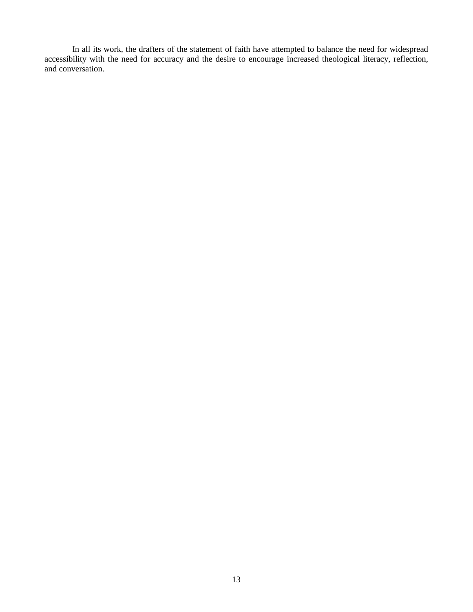In all its work, the drafters of the statement of faith have attempted to balance the need for widespread accessibility with the need for accuracy and the desire to encourage increased theological literacy, reflection, and conversation.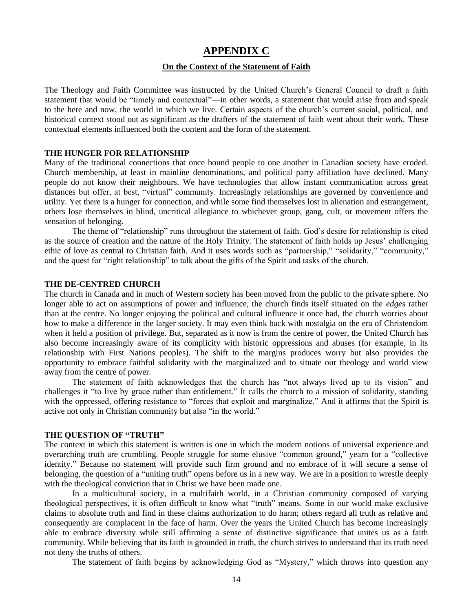# **APPENDIX C**

#### **On the Context of the Statement of Faith**

The Theology and Faith Committee was instructed by the United Church's General Council to draft a faith statement that would be "timely and contextual"—in other words, a statement that would arise from and speak to the here and now, the world in which we live. Certain aspects of the church's current social, political, and historical context stood out as significant as the drafters of the statement of faith went about their work. These contextual elements influenced both the content and the form of the statement.

#### **THE HUNGER FOR RELATIONSHIP**

Many of the traditional connections that once bound people to one another in Canadian society have eroded. Church membership, at least in mainline denominations, and political party affiliation have declined. Many people do not know their neighbours. We have technologies that allow instant communication across great distances but offer, at best, "virtual" community. Increasingly relationships are governed by convenience and utility. Yet there is a hunger for connection, and while some find themselves lost in alienation and estrangement, others lose themselves in blind, uncritical allegiance to whichever group, gang, cult, or movement offers the sensation of belonging.

The theme of "relationship" runs throughout the statement of faith. God's desire for relationship is cited as the source of creation and the nature of the Holy Trinity. The statement of faith holds up Jesus' challenging ethic of love as central to Christian faith. And it uses words such as "partnership," "solidarity," "community," and the quest for "right relationship" to talk about the gifts of the Spirit and tasks of the church.

#### **THE DE-CENTRED CHURCH**

The church in Canada and in much of Western society has been moved from the public to the private sphere. No longer able to act on assumptions of power and influence, the church finds itself situated on the *edges* rather than at the centre. No longer enjoying the political and cultural influence it once had, the church worries about how to make a difference in the larger society. It may even think back with nostalgia on the era of Christendom when it held a position of privilege. But, separated as it now is from the centre of power, the United Church has also become increasingly aware of its complicity with historic oppressions and abuses (for example, in its relationship with First Nations peoples). The shift to the margins produces worry but also provides the opportunity to embrace faithful solidarity with the marginalized and to situate our theology and world view away from the centre of power.

The statement of faith acknowledges that the church has "not always lived up to its vision" and challenges it "to live by grace rather than entitlement." It calls the church to a mission of solidarity, standing with the oppressed, offering resistance to "forces that exploit and marginalize." And it affirms that the Spirit is active not only in Christian community but also "in the world."

#### **THE QUESTION OF "TRUTH"**

The context in which this statement is written is one in which the modern notions of universal experience and overarching truth are crumbling. People struggle for some elusive "common ground," yearn for a "collective identity." Because no statement will provide such firm ground and no embrace of it will secure a sense of belonging, the question of a "uniting truth" opens before us in a new way. We are in a position to wrestle deeply with the theological conviction that in Christ we have been made one.

In a multicultural society, in a multifaith world, in a Christian community composed of varying theological perspectives, it is often difficult to know what "truth" means. Some in our world make exclusive claims to absolute truth and find in these claims authorization to do harm; others regard all truth as relative and consequently are complacent in the face of harm. Over the years the United Church has become increasingly able to embrace diversity while still affirming a sense of distinctive significance that unites us as a faith community. While believing that its faith is grounded in truth, the church strives to understand that its truth need not deny the truths of others.

The statement of faith begins by acknowledging God as "Mystery," which throws into question any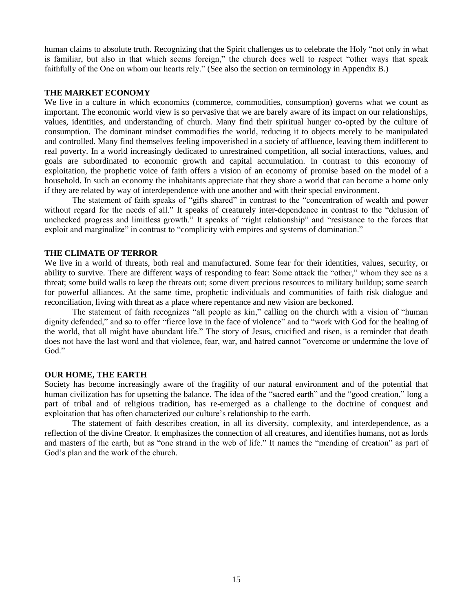human claims to absolute truth. Recognizing that the Spirit challenges us to celebrate the Holy "not only in what is familiar, but also in that which seems foreign," the church does well to respect "other ways that speak faithfully of the One on whom our hearts rely." (See also the section on terminology in Appendix B.)

#### **THE MARKET ECONOMY**

We live in a culture in which economics (commerce, commodities, consumption) governs what we count as important. The economic world view is so pervasive that we are barely aware of its impact on our relationships, values, identities, and understanding of church. Many find their spiritual hunger co-opted by the culture of consumption. The dominant mindset commodifies the world, reducing it to objects merely to be manipulated and controlled. Many find themselves feeling impoverished in a society of affluence, leaving them indifferent to real poverty. In a world increasingly dedicated to unrestrained competition, all social interactions, values, and goals are subordinated to economic growth and capital accumulation. In contrast to this economy of exploitation, the prophetic voice of faith offers a vision of an economy of promise based on the model of a household. In such an economy the inhabitants appreciate that they share a world that can become a home only if they are related by way of interdependence with one another and with their special environment.

The statement of faith speaks of "gifts shared" in contrast to the "concentration of wealth and power without regard for the needs of all." It speaks of creaturely inter-dependence in contrast to the "delusion of unchecked progress and limitless growth." It speaks of "right relationship" and "resistance to the forces that exploit and marginalize" in contrast to "complicity with empires and systems of domination."

#### **THE CLIMATE OF TERROR**

We live in a world of threats, both real and manufactured. Some fear for their identities, values, security, or ability to survive. There are different ways of responding to fear: Some attack the "other," whom they see as a threat; some build walls to keep the threats out; some divert precious resources to military buildup; some search for powerful alliances. At the same time, prophetic individuals and communities of faith risk dialogue and reconciliation, living with threat as a place where repentance and new vision are beckoned.

The statement of faith recognizes "all people as kin," calling on the church with a vision of "human dignity defended," and so to offer "fierce love in the face of violence" and to "work with God for the healing of the world, that all might have abundant life." The story of Jesus, crucified and risen, is a reminder that death does not have the last word and that violence, fear, war, and hatred cannot "overcome or undermine the love of God<sup>"</sup>

#### **OUR HOME, THE EARTH**

Society has become increasingly aware of the fragility of our natural environment and of the potential that human civilization has for upsetting the balance. The idea of the "sacred earth" and the "good creation," long a part of tribal and of religious tradition, has re-emerged as a challenge to the doctrine of conquest and exploitation that has often characterized our culture's relationship to the earth.

The statement of faith describes creation, in all its diversity, complexity, and interdependence, as a reflection of the divine Creator. It emphasizes the connection of all creatures, and identifies humans, not as lords and masters of the earth, but as "one strand in the web of life." It names the "mending of creation" as part of God's plan and the work of the church.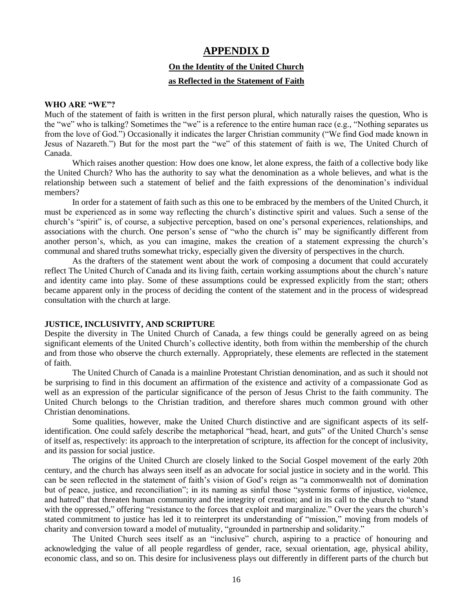# **APPENDIX D**

#### **On the Identity of the United Church**

#### **as Reflected in the Statement of Faith**

#### **WHO ARE "WE"?**

Much of the statement of faith is written in the first person plural, which naturally raises the question, Who is the "we" who is talking? Sometimes the "we" is a reference to the entire human race (e.g., "Nothing separates us from the love of God.") Occasionally it indicates the larger Christian community ("We find God made known in Jesus of Nazareth.") But for the most part the "we" of this statement of faith is we, The United Church of Canada.

Which raises another question: How does one know, let alone express, the faith of a collective body like the United Church? Who has the authority to say what the denomination as a whole believes, and what is the relationship between such a statement of belief and the faith expressions of the denomination's individual members?

In order for a statement of faith such as this one to be embraced by the members of the United Church, it must be experienced as in some way reflecting the church's distinctive spirit and values. Such a sense of the church's "spirit" is, of course, a subjective perception, based on one's personal experiences, relationships, and associations with the church. One person's sense of "who the church is" may be significantly different from another person's, which, as you can imagine, makes the creation of a statement expressing the church's communal and shared truths somewhat tricky, especially given the diversity of perspectives in the church.

As the drafters of the statement went about the work of composing a document that could accurately reflect The United Church of Canada and its living faith, certain working assumptions about the church's nature and identity came into play. Some of these assumptions could be expressed explicitly from the start; others became apparent only in the process of deciding the content of the statement and in the process of widespread consultation with the church at large.

#### **JUSTICE, INCLUSIVITY, AND SCRIPTURE**

Despite the diversity in The United Church of Canada, a few things could be generally agreed on as being significant elements of the United Church's collective identity, both from within the membership of the church and from those who observe the church externally. Appropriately, these elements are reflected in the statement of faith.

The United Church of Canada is a mainline Protestant Christian denomination, and as such it should not be surprising to find in this document an affirmation of the existence and activity of a compassionate God as well as an expression of the particular significance of the person of Jesus Christ to the faith community. The United Church belongs to the Christian tradition, and therefore shares much common ground with other Christian denominations.

Some qualities, however, make the United Church distinctive and are significant aspects of its selfidentification. One could safely describe the metaphorical "head, heart, and guts" of the United Church's sense of itself as, respectively: its approach to the interpretation of scripture, its affection for the concept of inclusivity, and its passion for social justice.

The origins of the United Church are closely linked to the Social Gospel movement of the early 20th century, and the church has always seen itself as an advocate for social justice in society and in the world. This can be seen reflected in the statement of faith's vision of God's reign as "a commonwealth not of domination but of peace, justice, and reconciliation"; in its naming as sinful those "systemic forms of injustice, violence, and hatred" that threaten human community and the integrity of creation; and in its call to the church to "stand with the oppressed," offering "resistance to the forces that exploit and marginalize." Over the years the church's stated commitment to justice has led it to reinterpret its understanding of "mission," moving from models of charity and conversion toward a model of mutuality, "grounded in partnership and solidarity."

The United Church sees itself as an "inclusive" church, aspiring to a practice of honouring and acknowledging the value of all people regardless of gender, race, sexual orientation, age, physical ability, economic class, and so on. This desire for inclusiveness plays out differently in different parts of the church but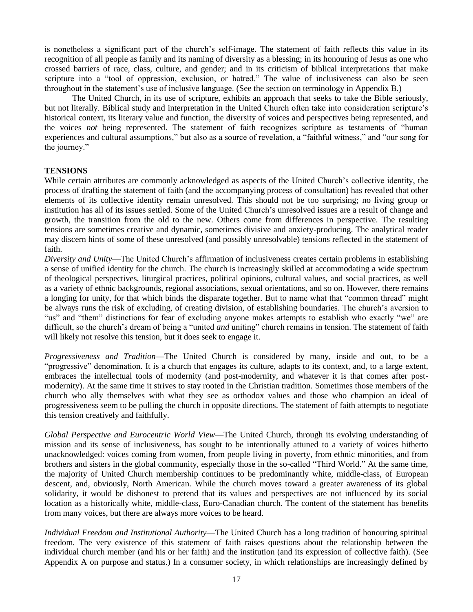is nonetheless a significant part of the church's self-image. The statement of faith reflects this value in its recognition of all people as family and its naming of diversity as a blessing; in its honouring of Jesus as one who crossed barriers of race, class, culture, and gender; and in its criticism of biblical interpretations that make scripture into a "tool of oppression, exclusion, or hatred." The value of inclusiveness can also be seen throughout in the statement's use of inclusive language. (See the section on terminology in Appendix B.)

The United Church, in its use of scripture, exhibits an approach that seeks to take the Bible seriously, but not literally. Biblical study and interpretation in the United Church often take into consideration scripture's historical context, its literary value and function, the diversity of voices and perspectives being represented, and the voices *not* being represented. The statement of faith recognizes scripture as testaments of "human experiences and cultural assumptions," but also as a source of revelation, a "faithful witness," and "our song for the journey."

#### **TENSIONS**

While certain attributes are commonly acknowledged as aspects of the United Church's collective identity, the process of drafting the statement of faith (and the accompanying process of consultation) has revealed that other elements of its collective identity remain unresolved. This should not be too surprising; no living group or institution has all of its issues settled. Some of the United Church's unresolved issues are a result of change and growth, the transition from the old to the new. Others come from differences in perspective. The resulting tensions are sometimes creative and dynamic, sometimes divisive and anxiety-producing. The analytical reader may discern hints of some of these unresolved (and possibly unresolvable) tensions reflected in the statement of faith.

*Diversity and Unity*—The United Church's affirmation of inclusiveness creates certain problems in establishing a sense of unified identity for the church. The church is increasingly skilled at accommodating a wide spectrum of theological perspectives, liturgical practices, political opinions, cultural values, and social practices, as well as a variety of ethnic backgrounds, regional associations, sexual orientations, and so on. However, there remains a longing for unity, for that which binds the disparate together. But to name what that "common thread" might be always runs the risk of excluding, of creating division, of establishing boundaries. The church's aversion to "us" and "them" distinctions for fear of excluding anyone makes attempts to establish who exactly "we" are difficult, so the church's dream of being a "united *and* uniting" church remains in tension. The statement of faith will likely not resolve this tension, but it does seek to engage it.

*Progressiveness and Tradition*—The United Church is considered by many, inside and out, to be a "progressive" denomination. It is a church that engages its culture, adapts to its context, and, to a large extent, embraces the intellectual tools of modernity (and post-modernity, and whatever it is that comes after postmodernity). At the same time it strives to stay rooted in the Christian tradition. Sometimes those members of the church who ally themselves with what they see as orthodox values and those who champion an ideal of progressiveness seem to be pulling the church in opposite directions. The statement of faith attempts to negotiate this tension creatively and faithfully.

*Global Perspective and Eurocentric World View*—The United Church, through its evolving understanding of mission and its sense of inclusiveness, has sought to be intentionally attuned to a variety of voices hitherto unacknowledged: voices coming from women, from people living in poverty, from ethnic minorities, and from brothers and sisters in the global community, especially those in the so-called "Third World." At the same time, the majority of United Church membership continues to be predominantly white, middle-class, of European descent, and, obviously, North American. While the church moves toward a greater awareness of its global solidarity, it would be dishonest to pretend that its values and perspectives are not influenced by its social location as a historically white, middle-class, Euro-Canadian church. The content of the statement has benefits from many voices, but there are always more voices to be heard.

*Individual Freedom and Institutional Authority*—The United Church has a long tradition of honouring spiritual freedom. The very existence of this statement of faith raises questions about the relationship between the individual church member (and his or her faith) and the institution (and its expression of collective faith). (See Appendix A on purpose and status.) In a consumer society, in which relationships are increasingly defined by